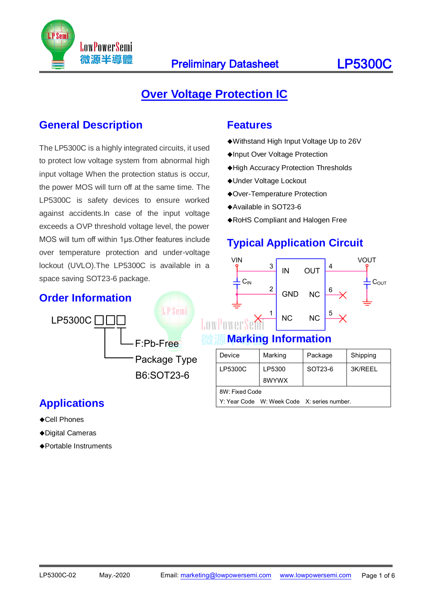

### **Over Voltage Protection IC**

#### **General Description**

The LP5300C is a highly integrated circuits, it used to protect low voltage system from abnormal high input voltage When the protection status is occur, the power MOS will turn off at the same time. The LP5300C is safety devices to ensure worked against accidents.In case of the input voltage exceeds a OVP threshold voltage level, the power MOS will turn off within 1μs.Other features include over temperature protection and under-voltage lockout (UVLO).The LP5300C is available in a space saving SOT23-6 package.

#### **Order Information**



### **Applications**

- ◆Cell Phones
- Digital Cameras
- Portable Instruments

#### **Features**

- Withstand High Input Voltage Up to 26V
- Input Over Voltage Protection
- High Accuracy Protection Thresholds
- Under Voltage Lockout
- Over-Temperature Protection
- Available in SOT23-6
- RoHS Compliant and Halogen Free

# **Typical Application Circuit**



#### **Marking Information**

| Device                                      | Marking | Package | Shipping |  |  |  |
|---------------------------------------------|---------|---------|----------|--|--|--|
| LP5300C                                     | LP5300  | SOT23-6 | 3K/REEL  |  |  |  |
|                                             | 8WYWX   |         |          |  |  |  |
| 8W: Fixed Code                              |         |         |          |  |  |  |
| Y: Year Code W: Week Code X: series number. |         |         |          |  |  |  |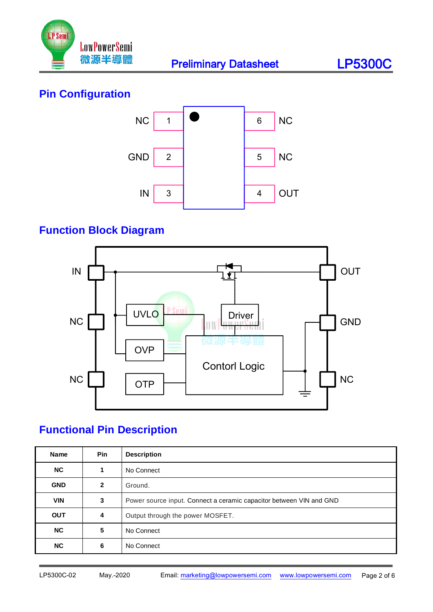

# **Pin Configuration**



# **Function Block Diagram**



# **Functional Pin Description**

| <b>Name</b> | <b>Pin</b>   | <b>Description</b>                                                  |
|-------------|--------------|---------------------------------------------------------------------|
| <b>NC</b>   | 1            | No Connect                                                          |
| <b>GND</b>  | $\mathbf{2}$ | Ground.                                                             |
| <b>VIN</b>  | 3            | Power source input. Connect a ceramic capacitor between VIN and GND |
| <b>OUT</b>  | 4            | Output through the power MOSFET.                                    |
| <b>NC</b>   | 5            | No Connect                                                          |
| <b>NC</b>   | 6            | No Connect                                                          |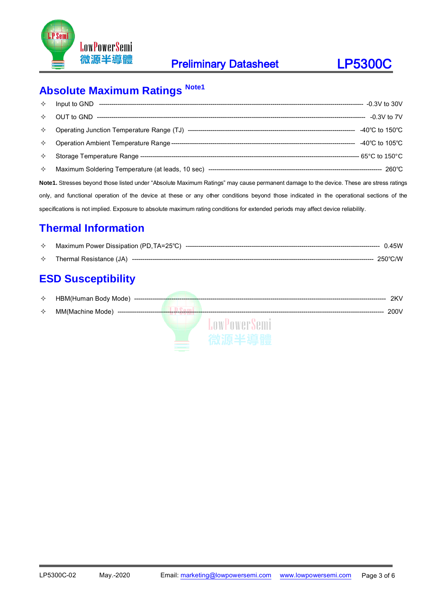



# **Absolute Maximum Ratings Note1**

| $\rightsquigarrow$ |                                                                                                                                         |  |
|--------------------|-----------------------------------------------------------------------------------------------------------------------------------------|--|
| ✧                  |                                                                                                                                         |  |
| ✧                  |                                                                                                                                         |  |
| ✧                  |                                                                                                                                         |  |
| ✧                  |                                                                                                                                         |  |
| $\leftrightarrow$  |                                                                                                                                         |  |
|                    | Note1. Stresses beyond those listed under "Absolute Maximum Ratings" may cause permanent damage to the device. These are stress ratings |  |
|                    | only, and functional operation of the device at these or any other conditions beyond those indicated in the operational sections of the |  |
|                    | specifications is not implied. Exposure to absolute maximum rating conditions for extended periods may affect device reliability.       |  |

### **Thermal Information**

| ≺≻ | Maximum Power Dissipation (PD, TA=25°C) | 0.45W  |
|----|-----------------------------------------|--------|
| ✧  | Thermal Resistance (JA)                 | 250℃/W |

# **ESD Susceptibility**

| ✧ | HBM(Human Body Mode) ----   |                      | 2KV  |  |
|---|-----------------------------|----------------------|------|--|
|   |                             |                      |      |  |
| ✧ | MM(Machine Mode)<br>------- |                      | 200V |  |
|   |                             | <b>1.owPowerSemi</b> |      |  |
|   |                             |                      |      |  |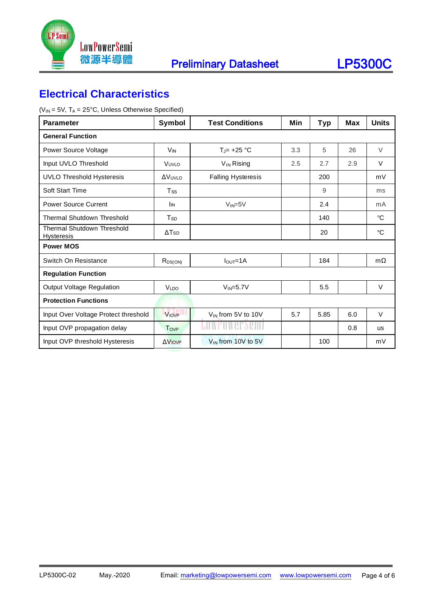



#### **Electrical Characteristics**

 $(V_{IN} = 5V, T_A = 25^{\circ}C,$  Unless Otherwise Specified)

| <b>Parameter</b>                                | Symbol                   | <b>Test Conditions</b>         | Min | <b>Typ</b> | <b>Max</b> | <b>Units</b> |
|-------------------------------------------------|--------------------------|--------------------------------|-----|------------|------------|--------------|
| <b>General Function</b>                         |                          |                                |     |            |            |              |
| Power Source Voltage                            | <b>V<sub>IN</sub></b>    | $T_J$ = +25 °C                 | 3.3 | 5          | 26         | V            |
| Input UVLO Threshold                            | VUVLO                    | V <sub>IN</sub> Rising         | 2.5 | 2.7        | 2.9        | $\vee$       |
| <b>UVLO Threshold Hysteresis</b>                | <b>AVUVLO</b>            | <b>Falling Hysteresis</b>      |     | 200        |            | mV           |
| Soft Start Time                                 | <b>Tss</b>               |                                |     | 9          |            | ms           |
| <b>Power Source Current</b>                     | <b>I</b> IN              | $V_{IN} = 5V$                  |     | 2.4        |            | mA           |
| <b>Thermal Shutdown Threshold</b>               | T <sub>SD</sub>          |                                |     | 140        |            | °C           |
| Thermal Shutdown Threshold<br><b>Hysteresis</b> | $\Delta$ T <sub>SD</sub> |                                |     | 20         |            | °C           |
| <b>Power MOS</b>                                |                          |                                |     |            |            |              |
| Switch On Resistance                            | $R_{DS(ON)}$             | $IQUT=1A$                      |     | 184        |            | $m\Omega$    |
| <b>Regulation Function</b>                      |                          |                                |     |            |            |              |
| <b>Output Voltage Regulation</b>                | <b>VLDO</b>              | $V_{IN} = 5.7V$                |     | 5.5        |            | V            |
| <b>Protection Functions</b>                     |                          |                                |     |            |            |              |
| Input Over Voltage Protect threshold            | <b>VIOVP</b>             | V <sub>IN</sub> from 5V to 10V | 5.7 | 5.85       | 6.0        | V            |
| Input OVP propagation delay                     | Tove                     |                                |     |            | 0.8        | <b>us</b>    |
| Input OVP threshold Hysteresis                  | $\Delta V_{IOVP}$        | V <sub>IN</sub> from 10V to 5V |     | 100        |            | mV           |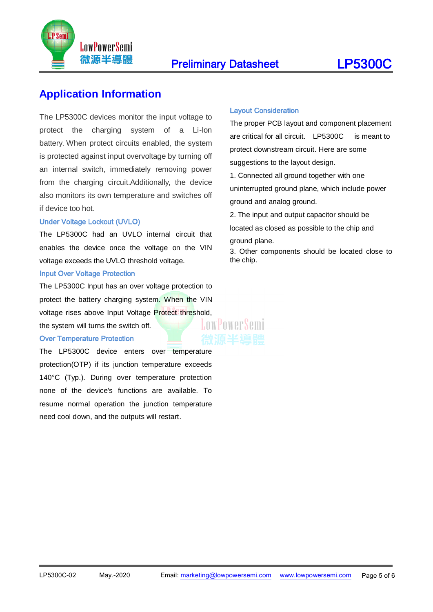

#### **Preliminary Datasheet LP5300C**

#### **Application Information**

The LP5300C devices monitor the input voltage to protect the charging system of a Li-Ion battery. When protect circuits enabled, the system is protected against input overvoltage by turning off an internal switch, immediately removing power from the charging circuit.Additionally, the device also monitors its own temperature and switches off if device too hot.

#### Under Voltage Lockout (UVLO)

The LP5300C had an UVLO internal circuit that enables the device once the voltage on the VIN voltage exceeds the UVLO threshold voltage.

#### Input Over Voltage Protection

The LP5300C Input has an over voltage protection to protect the battery charging system. When the VIN voltage rises above Input Voltage Protect threshold,<br>the system will turns the switch off.

the system will turns the switch off.

#### Over Temperature Protection

The LP5300C device enters over temperature protection(OTP) if its junction temperature exceeds 140°C (Typ.). During over temperature protection none of the device's functions are available. To resume normal operation the junction temperature need cool down, and the outputs will restart.

#### Layout Consideration

The proper PCB layout and component placement are critical for all circuit. LP5300C is meant to protect downstream circuit. Here are some suggestions to the layout design.

1. Connected all ground together with one uninterrupted ground plane, which include power ground and analog ground.

2. The input and output capacitor should be

located as closed as possible to the chip and

ground plane.

3. Other components should be located close to the chip.